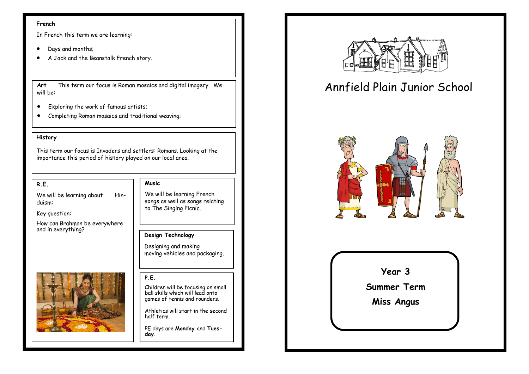### **French**

In French this term we are learning:

- Days and months;
- A Jack and the Beanstalk French story.

**Art** This term our focus is Roman mosaics and digital imagery. We will be:

- Exploring the work of famous artists;
- Completing Roman mosaics and traditional weaving;

### **History**

This term our focus is Invaders and settlers: Romans. Looking at the importance this period of history played on our local area.

### **R.E.**

We will be learning about Hinduism:

Key question:

How can Brahman be everywhere and in everything?

### **Music**

We will be learning French songs as well as songs relating to The Singing Picnic.

### **Design Technology**

Designing and making moving vehicles and packaging.

### **P.E.**

Children will be focusing on small ball skills which will lead onto games of tennis and rounders.

Athletics will start in the second half term.

PE days are **Monday** and **Tuesday**.



# Annfield Plain Junior School



**Year 3**

**Summer Term** 

**Miss Angus**